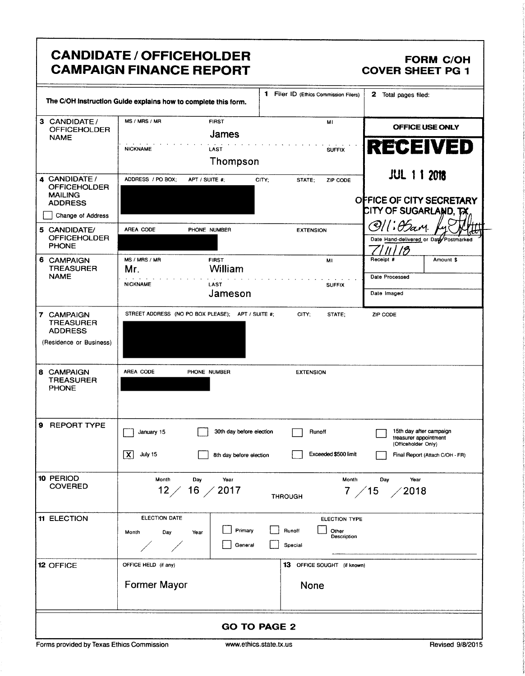|                                                                             | <b>CANDIDATE / OFFICEHOLDER</b><br><b>CAMPAIGN FINANCE REPORT</b>                                       |                                                            | <b>FORM C/OH</b><br><b>COVER SHEET PG 1</b>                                                                |  |
|-----------------------------------------------------------------------------|---------------------------------------------------------------------------------------------------------|------------------------------------------------------------|------------------------------------------------------------------------------------------------------------|--|
|                                                                             | The C/OH instruction Guide explains how to complete this form.                                          | 1 Filer ID (Ethics Commission Filers)                      | 2 Total pages filed:                                                                                       |  |
| 3 CANDIDATE/<br><b>OFFICEHOLDER</b><br><b>NAME</b>                          | MS / MRS / MR<br><b>FIRST</b><br>James<br><b>NICKNAME</b><br>LAST                                       | MI<br><b>SUFFIX</b>                                        | OFFICE USE ONLY<br><b>RECEIVED</b>                                                                         |  |
| 4 CANDIDATE /<br><b>OFFICEHOLDER</b><br><b>MAILING</b><br><b>ADDRESS</b>    | Thompson<br>ADDRESS / PO BOX:<br>APT / SUITE #;<br>CITY:                                                | STATE:<br>ZIP CODE                                         | <b>JUL 11 2018</b><br>OFFICE OF CITY SECRETARY                                                             |  |
| Change of Address<br>5 CANDIDATE/<br><b>OFFICEHOLDER</b><br><b>PHONE</b>    | AREA CODE<br>PHONE NUMBER                                                                               | <b>EXTENSION</b>                                           | <b>CITY OF SUGARLAND, TX</b><br>$1: \theta$ am<br>Q)<br>Date Hand-delivered or Date Postmarked<br>13       |  |
| 6 CAMPAIGN<br><b>TREASURER</b><br><b>NAME</b>                               | MS / MRS / MR<br><b>FIRST</b><br>William<br>Mr.<br><b>NICKNAME</b><br>LAST<br>Jameson                   | MI<br><b>SUFFIX</b>                                        | Receipt #<br>Amount \$<br>Date Processed<br>Date Imaged                                                    |  |
| 7 CAMPAIGN<br><b>TREASURER</b><br><b>ADDRESS</b><br>(Residence or Business) | STREET ADDRESS (NO PO BOX PLEASE); APT / SUITE #;                                                       | CITY:<br>STATE;                                            | ZIP CODE                                                                                                   |  |
| 8 CAMPAIGN<br><b>TREASURER</b><br><b>PHONE</b>                              | AREA CODE<br>PHONE NUMBER                                                                               | <b>EXTENSION</b>                                           |                                                                                                            |  |
| 9<br><b>REPORT TYPE</b>                                                     | 30th day before election<br>January 15<br>$\overline{\mathbf{x}}$<br>July 15<br>8th day before election | Runoff<br>Exceeded \$500 limit                             | 15th day after campaign<br>treasurer appointment<br>(Officeholder Only)<br>Final Report (Attach C/OH - FR) |  |
| 10 PERIOD<br><b>COVERED</b>                                                 | Month<br>Day<br>Year<br>12 / 16 / 2017                                                                  | Month<br>7 / 15<br><b>THROUGH</b>                          | Day<br>Year<br>12018                                                                                       |  |
| <b>11 ELECTION</b>                                                          | <b>ELECTION DATE</b><br>Primary<br>Month<br>Day<br>Year<br>General                                      | ELECTION TYPE<br>Runoff<br>Other<br>Description<br>Special |                                                                                                            |  |
| <b>12 OFFICE</b>                                                            | OFFICE HELD (if any)<br><b>Former Mayor</b>                                                             | <b>13</b> OFFICE SOUGHT (if known)<br>None                 |                                                                                                            |  |
| <b>GO TO PAGE 2</b>                                                         |                                                                                                         |                                                            |                                                                                                            |  |

Forms provided by Texas Ethics Commission www.ethics.state.tx.us Revised 9/8/2015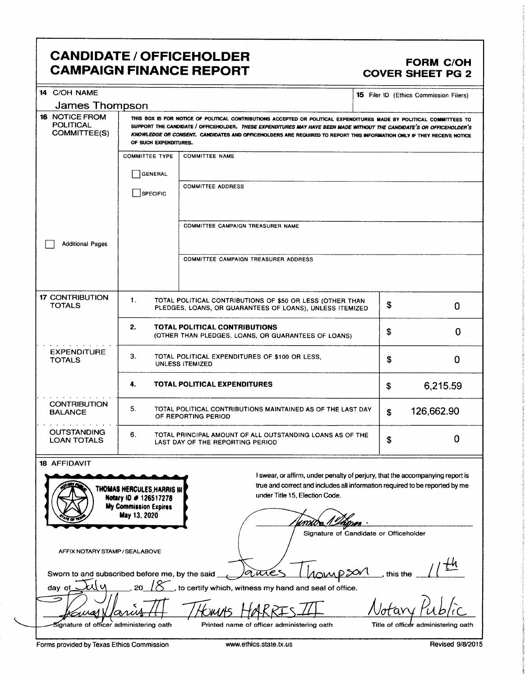## CANDIDATE / OFFICEHOLDER<br>CAMPAIGN FINANCE REPORT CAMPOIGN FORM C **CAMPAIGN FINANCE REPORT**

| 14 C/OH NAME                                                          |                                                                                                                                                                                                                                                                                                                                                                                                  |                                                                                                                                                                                                |          | <b>15</b> Filer ID (Ethics Commission Filers) |  |
|-----------------------------------------------------------------------|--------------------------------------------------------------------------------------------------------------------------------------------------------------------------------------------------------------------------------------------------------------------------------------------------------------------------------------------------------------------------------------------------|------------------------------------------------------------------------------------------------------------------------------------------------------------------------------------------------|----------|-----------------------------------------------|--|
| James Thompson                                                        |                                                                                                                                                                                                                                                                                                                                                                                                  |                                                                                                                                                                                                |          |                                               |  |
| <b>16 NOTICE FROM</b><br><b>POLITICAL</b><br><b>COMMITTEE(S)</b>      | THIS BOX IS FOR NOTICE OF POLITICAL CONTRIBUTIONS ACCEPTED OR POLITICAL EXPENDITURES MADE BY POLITICAL COMMITTEES TO<br>SUPPORT THE CANDIDATE / OFFICEHOLDER. THESE EXPENDITURES MAY HAVE BEEN MADE WITHOUT THE CANDIDATE'S OR OFFICEHOLDER'S<br>KNOWLEDGE OR CONSENT. CANDIDATES AND OFFICEHOLDERS ARE REQUIRED TO REPORT THIS INFORMATION ONLY IF THEY RECEIVE NOTICE<br>OF SUCH EXPENDITURES. |                                                                                                                                                                                                |          |                                               |  |
|                                                                       | <b>COMMITTEE TYPE</b>                                                                                                                                                                                                                                                                                                                                                                            | <b>COMMITTEE NAME</b>                                                                                                                                                                          |          |                                               |  |
|                                                                       | <b>GENERAL</b>                                                                                                                                                                                                                                                                                                                                                                                   |                                                                                                                                                                                                |          |                                               |  |
|                                                                       |                                                                                                                                                                                                                                                                                                                                                                                                  | <b>COMMITTEE ADDRESS</b>                                                                                                                                                                       |          |                                               |  |
|                                                                       | SPECIFIC                                                                                                                                                                                                                                                                                                                                                                                         |                                                                                                                                                                                                |          |                                               |  |
|                                                                       |                                                                                                                                                                                                                                                                                                                                                                                                  | <b>COMMITTEE CAMPAIGN TREASURER NAME</b>                                                                                                                                                       |          |                                               |  |
| <b>Additional Pages</b>                                               |                                                                                                                                                                                                                                                                                                                                                                                                  |                                                                                                                                                                                                |          |                                               |  |
|                                                                       |                                                                                                                                                                                                                                                                                                                                                                                                  | <b>COMMITTEE CAMPAIGN TREASURER ADDRESS</b>                                                                                                                                                    |          |                                               |  |
|                                                                       |                                                                                                                                                                                                                                                                                                                                                                                                  |                                                                                                                                                                                                |          |                                               |  |
| <b>17 CONTRIBUTION</b><br><b>TOTALS</b>                               | 1.                                                                                                                                                                                                                                                                                                                                                                                               | TOTAL POLITICAL CONTRIBUTIONS OF \$50 OR LESS (OTHER THAN<br>PLEDGES, LOANS, OR GUARANTEES OF LOANS), UNLESS ITEMIZED                                                                          | \$       | 0                                             |  |
|                                                                       | 2.                                                                                                                                                                                                                                                                                                                                                                                               | TOTAL POLITICAL CONTRIBUTIONS<br>(OTHER THAN PLEDGES, LOANS, OR GUARANTEES OF LOANS)                                                                                                           | \$       | 0                                             |  |
| <b>EXPENDITURE</b><br><b>TOTALS</b>                                   | 3.                                                                                                                                                                                                                                                                                                                                                                                               | TOTAL POLITICAL EXPENDITURES OF \$100 OR LESS,<br><b>UNLESS ITEMIZED</b>                                                                                                                       | \$       | 0                                             |  |
|                                                                       | 4.                                                                                                                                                                                                                                                                                                                                                                                               | <b>TOTAL POLITICAL EXPENDITURES</b>                                                                                                                                                            | \$       | 6,215.59                                      |  |
| <b>CONTRIBUTION</b><br><b>BALANCE</b>                                 | 5.                                                                                                                                                                                                                                                                                                                                                                                               | TOTAL POLITICAL CONTRIBUTIONS MAINTAINED AS OF THE LAST DAY<br>126,662.90<br>\$<br>OF REPORTING PERIOD                                                                                         |          |                                               |  |
| <b>OUTSTANDING</b><br><b>LOAN TOTALS</b>                              | 6.                                                                                                                                                                                                                                                                                                                                                                                               | TOTAL PRINCIPAL AMOUNT OF ALL OUTSTANDING LOANS AS OF THE<br>LAST DAY OF THE REPORTING PERIOD                                                                                                  | \$       | 0                                             |  |
| <b>18 AFFIDAVIT</b>                                                   |                                                                                                                                                                                                                                                                                                                                                                                                  |                                                                                                                                                                                                |          |                                               |  |
|                                                                       | THOMAS HERCULES, HARRIS IN<br>Notary ID # 126517278<br><b>My Commission Expires</b>                                                                                                                                                                                                                                                                                                              | I swear, or affirm, under penalty of perjury, that the accompanying report is<br>true and correct and includes all information required to be reported by me<br>under Title 15, Election Code. |          |                                               |  |
|                                                                       | May 13, 2020                                                                                                                                                                                                                                                                                                                                                                                     |                                                                                                                                                                                                |          |                                               |  |
| AFFIX NOTARY STAMP / SEALABOVE                                        |                                                                                                                                                                                                                                                                                                                                                                                                  | Signature of Candidate or Officeholder                                                                                                                                                         |          |                                               |  |
| Sworn to and subscribed before me, by the said                        |                                                                                                                                                                                                                                                                                                                                                                                                  | auc                                                                                                                                                                                            | this the |                                               |  |
| J.<br>to certify which, witness my hand and seal of office.<br>day of |                                                                                                                                                                                                                                                                                                                                                                                                  |                                                                                                                                                                                                |          |                                               |  |
|                                                                       |                                                                                                                                                                                                                                                                                                                                                                                                  |                                                                                                                                                                                                |          |                                               |  |
| Signature of officer administering oath                               |                                                                                                                                                                                                                                                                                                                                                                                                  | Printed name of officer administering oath                                                                                                                                                     |          | Title of officer administering oath           |  |

h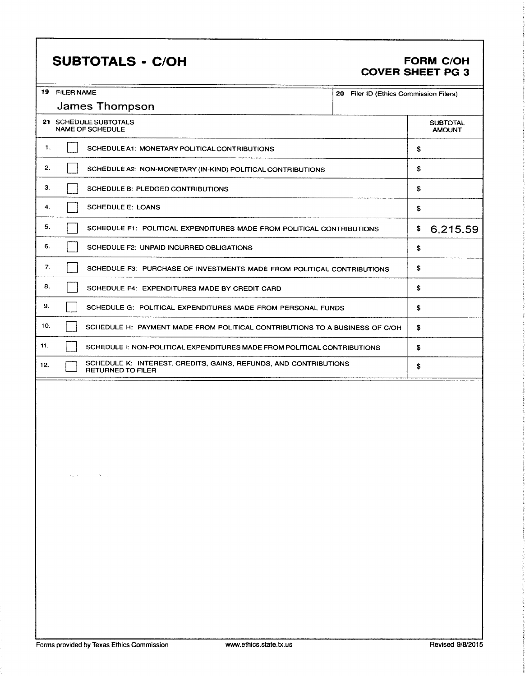# SUBTOTALS - C/OH FORM C/OH

# COVER SHEET PG 3

|     | 19 FILER NAME<br>20 Filer ID (Ethics Commission Filers)<br>James Thompson |                                                                                                                                                                                                               |  |    |                                  |  |
|-----|---------------------------------------------------------------------------|---------------------------------------------------------------------------------------------------------------------------------------------------------------------------------------------------------------|--|----|----------------------------------|--|
|     |                                                                           |                                                                                                                                                                                                               |  |    |                                  |  |
|     |                                                                           | 21 SCHEDULE SUBTOTALS<br><b>NAME OF SCHEDULE</b>                                                                                                                                                              |  |    | <b>SUBTOTAL</b><br><b>AMOUNT</b> |  |
| 1.  |                                                                           | SCHEDULE A1: MONETARY POLITICAL CONTRIBUTIONS                                                                                                                                                                 |  | \$ |                                  |  |
| 2.  |                                                                           | SCHEDULE A2: NON-MONETARY (IN-KIND) POLITICAL CONTRIBUTIONS                                                                                                                                                   |  | \$ |                                  |  |
| З.  |                                                                           | SCHEDULE B: PLEDGED CONTRIBUTIONS                                                                                                                                                                             |  | s  |                                  |  |
| 4.  |                                                                           | <b>SCHEDULE E: LOANS</b>                                                                                                                                                                                      |  | \$ |                                  |  |
| 5.  |                                                                           | SCHEDULE F1: POLITICAL EXPENDITURES MADE FROM POLITICAL CONTRIBUTIONS                                                                                                                                         |  | \$ | 6,215.59                         |  |
| 6.  |                                                                           | SCHEDULE F2: UNPAID INCURRED OBLIGATIONS                                                                                                                                                                      |  | \$ |                                  |  |
| 7.  |                                                                           | SCHEDULE F3: PURCHASE OF INVESTMENTS MADE FROM POLITICAL CONTRIBUTIONS                                                                                                                                        |  | \$ |                                  |  |
| 8.  |                                                                           | SCHEDULE F4: EXPENDITURES MADE BY CREDIT CARD                                                                                                                                                                 |  | \$ |                                  |  |
| 9.  |                                                                           | SCHEDULE G: POLITICAL EXPENDITURES MADE FROM PERSONAL FUNDS                                                                                                                                                   |  | \$ |                                  |  |
| 10. |                                                                           | SCHEDULE H: PAYMENT MADE FROM POLITICAL CONTRIBUTIONS TO A BUSINESS OF C/OH                                                                                                                                   |  | \$ |                                  |  |
| 11. |                                                                           | SCHEDULE I: NON-POLITICAL EXPENDITURES MADE FROM POLITICAL CONTRIBUTIONS                                                                                                                                      |  | \$ |                                  |  |
| 12. |                                                                           | SCHEDULE K: INTEREST, CREDITS, GAINS, REFUNDS, AND CONTRIBUTIONS<br><b>RETURNED TO FILER</b>                                                                                                                  |  | \$ |                                  |  |
|     |                                                                           |                                                                                                                                                                                                               |  |    |                                  |  |
|     |                                                                           |                                                                                                                                                                                                               |  |    |                                  |  |
|     |                                                                           |                                                                                                                                                                                                               |  |    |                                  |  |
|     |                                                                           |                                                                                                                                                                                                               |  |    |                                  |  |
|     |                                                                           |                                                                                                                                                                                                               |  |    |                                  |  |
|     |                                                                           |                                                                                                                                                                                                               |  |    |                                  |  |
|     |                                                                           |                                                                                                                                                                                                               |  |    |                                  |  |
|     |                                                                           | $\mathbf{e}_{\mathbf{z}}(\mathbf{z})$ and $\mathbf{e}_{\mathbf{z}}(\mathbf{z})$ and $\mathbf{e}_{\mathbf{z}}(\mathbf{z})$ and $\mathbf{e}_{\mathbf{z}}(\mathbf{z})$ and $\mathbf{e}_{\mathbf{z}}(\mathbf{z})$ |  |    |                                  |  |
|     |                                                                           |                                                                                                                                                                                                               |  |    |                                  |  |
|     |                                                                           |                                                                                                                                                                                                               |  |    |                                  |  |
|     |                                                                           |                                                                                                                                                                                                               |  |    |                                  |  |
|     |                                                                           |                                                                                                                                                                                                               |  |    |                                  |  |
|     |                                                                           |                                                                                                                                                                                                               |  |    |                                  |  |
|     |                                                                           |                                                                                                                                                                                                               |  |    |                                  |  |
|     |                                                                           |                                                                                                                                                                                                               |  |    |                                  |  |
|     |                                                                           |                                                                                                                                                                                                               |  |    |                                  |  |
|     |                                                                           |                                                                                                                                                                                                               |  |    |                                  |  |
|     |                                                                           |                                                                                                                                                                                                               |  |    |                                  |  |
|     |                                                                           |                                                                                                                                                                                                               |  |    |                                  |  |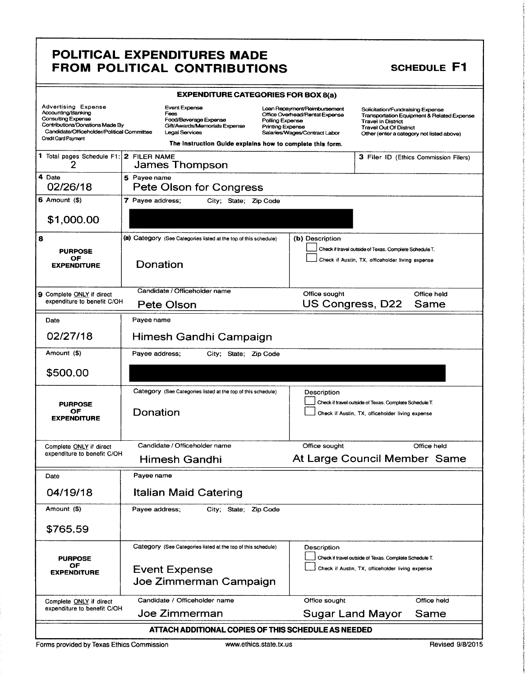### POLITICAL EXPENDITURES MADE FROM POLITICAL CONTRIBUTIONS SCHEDULE F1

| <b>EXPENDITURE CATEGORIES FOR BOX 8(a)</b>                                                                                                     |                                                                                                                                                                                                                                                                                                                                                                             |                                                                                                                |  |                                   |                                                                                                                                                                                           |                                       |  |
|------------------------------------------------------------------------------------------------------------------------------------------------|-----------------------------------------------------------------------------------------------------------------------------------------------------------------------------------------------------------------------------------------------------------------------------------------------------------------------------------------------------------------------------|----------------------------------------------------------------------------------------------------------------|--|-----------------------------------|-------------------------------------------------------------------------------------------------------------------------------------------------------------------------------------------|---------------------------------------|--|
| <b>Advertising Expense</b><br>Accounting/Banking<br><b>Consulting Expense</b><br>Contributions/Donations Made By<br><b>Credit Card Payment</b> | <b>Event Expense</b><br>Loan Repayment/Reimbursement<br>Fees<br>Office Overhead/Rental Expense<br>Food/Beverage Expense<br>Polling Expense<br>Gift/Awards/Memorials Expense<br><b>Printing Expense</b><br>Candidate/Officeholder/Political Committee<br><b>Legal Services</b><br>Salaries/Wages/Contract Labor<br>The Instruction Guide explains how to complete this form. |                                                                                                                |  |                                   | Solicitation/Fundraising Expense<br>Transportation Equipment & Related Expense<br><b>Travel In District</b><br><b>Travel Out Of District</b><br>Other (enter a category not listed above) |                                       |  |
| 1 Total pages Schedule F1: 2 FILER NAME<br>2                                                                                                   |                                                                                                                                                                                                                                                                                                                                                                             | James Thompson                                                                                                 |  |                                   |                                                                                                                                                                                           | 3 Filer ID (Ethics Commission Filers) |  |
| 4 Date<br>02/26/18                                                                                                                             | 5 Payee name                                                                                                                                                                                                                                                                                                                                                                | Pete Olson for Congress                                                                                        |  |                                   |                                                                                                                                                                                           |                                       |  |
| $6$ Amount $(5)$                                                                                                                               | 7 Payee address;                                                                                                                                                                                                                                                                                                                                                            | City; State; Zip Code                                                                                          |  |                                   |                                                                                                                                                                                           |                                       |  |
| \$1,000.00                                                                                                                                     |                                                                                                                                                                                                                                                                                                                                                                             |                                                                                                                |  |                                   |                                                                                                                                                                                           |                                       |  |
| 8                                                                                                                                              |                                                                                                                                                                                                                                                                                                                                                                             | (a) Category (See Categories listed at the top of this schedule)                                               |  | (b) Description                   |                                                                                                                                                                                           |                                       |  |
| <b>PURPOSE</b><br>ОF<br><b><i>EXPENDITURE</i></b>                                                                                              | Donation                                                                                                                                                                                                                                                                                                                                                                    |                                                                                                                |  |                                   | Check if travel outside of Texas. Complete Schedule T.<br>Check if Austin, TX, officeholder living expense                                                                                |                                       |  |
| 9 Complete ONLY if direct<br>expenditure to benefit C/OH                                                                                       |                                                                                                                                                                                                                                                                                                                                                                             | Candidate / Officeholder name<br>Pete Olson                                                                    |  | Office sought<br>US Congress, D22 |                                                                                                                                                                                           | Office held<br>Same                   |  |
| Date                                                                                                                                           | Payee name                                                                                                                                                                                                                                                                                                                                                                  |                                                                                                                |  |                                   |                                                                                                                                                                                           |                                       |  |
| 02/27/18                                                                                                                                       |                                                                                                                                                                                                                                                                                                                                                                             | Himesh Gandhi Campaign                                                                                         |  |                                   |                                                                                                                                                                                           |                                       |  |
| Amount (\$)                                                                                                                                    | Payee address;                                                                                                                                                                                                                                                                                                                                                              | City; State; Zip Code                                                                                          |  |                                   |                                                                                                                                                                                           |                                       |  |
| \$500.00                                                                                                                                       |                                                                                                                                                                                                                                                                                                                                                                             |                                                                                                                |  |                                   |                                                                                                                                                                                           |                                       |  |
| <b>PURPOSE</b><br>OF<br><b>EXPENDITURE</b>                                                                                                     | Donation                                                                                                                                                                                                                                                                                                                                                                    | Category (See Categories listed at the top of this schedule)                                                   |  | Description                       | Check if travel outside of Texas. Complete Schedule T.<br>Check if Austin, TX, officeholder living expense                                                                                |                                       |  |
| Complete ONLY if direct                                                                                                                        |                                                                                                                                                                                                                                                                                                                                                                             | Candidate / Officeholder name                                                                                  |  | Office sought                     |                                                                                                                                                                                           | Office held                           |  |
| expenditure to benefit C/OH                                                                                                                    |                                                                                                                                                                                                                                                                                                                                                                             | Himesh Gandhi                                                                                                  |  | At Large Council Member Same      |                                                                                                                                                                                           |                                       |  |
| Date                                                                                                                                           | Payee name                                                                                                                                                                                                                                                                                                                                                                  |                                                                                                                |  |                                   |                                                                                                                                                                                           |                                       |  |
| 04/19/18                                                                                                                                       |                                                                                                                                                                                                                                                                                                                                                                             | <b>Italian Maid Catering</b>                                                                                   |  |                                   |                                                                                                                                                                                           |                                       |  |
| Amount (\$)                                                                                                                                    | Payee address:                                                                                                                                                                                                                                                                                                                                                              | City; State; Zip Code                                                                                          |  |                                   |                                                                                                                                                                                           |                                       |  |
| \$765.59                                                                                                                                       |                                                                                                                                                                                                                                                                                                                                                                             |                                                                                                                |  |                                   |                                                                                                                                                                                           |                                       |  |
| <b>PURPOSE</b><br>ОF<br><b>EXPENDITURE</b>                                                                                                     |                                                                                                                                                                                                                                                                                                                                                                             | Category (See Categories listed at the top of this schedule)<br><b>Event Expense</b><br>Joe Zimmerman Campaign |  | Description                       | Check if travel outside of Texas. Complete Schedule T.<br>Check if Austin, TX, officeholder living expense                                                                                |                                       |  |
| Complete ONLY if direct<br>expenditure to benefit C/OH                                                                                         |                                                                                                                                                                                                                                                                                                                                                                             | Candidate / Officeholder name                                                                                  |  | Office sought                     |                                                                                                                                                                                           | Office held                           |  |
|                                                                                                                                                |                                                                                                                                                                                                                                                                                                                                                                             | Joe Zimmerman                                                                                                  |  | Sugar Land Mayor                  |                                                                                                                                                                                           | Same                                  |  |
| ATTACH ADDITIONAL COPIES OF THIS SCHEDULE AS NEEDED                                                                                            |                                                                                                                                                                                                                                                                                                                                                                             |                                                                                                                |  |                                   |                                                                                                                                                                                           |                                       |  |